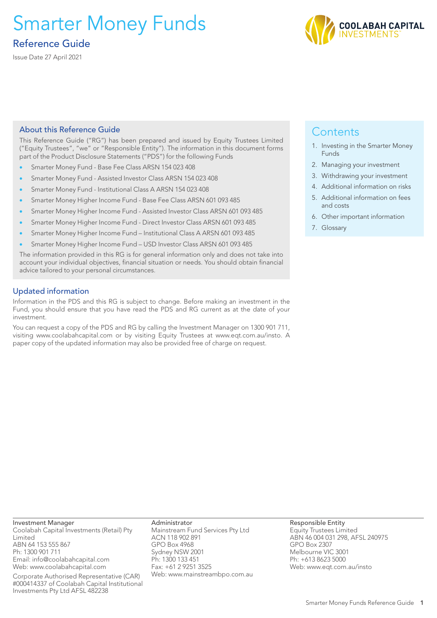# Smarter Money Funds

# Reference Guide

Issue Date 27 April 2021



# About this Reference Guide

This Reference Guide ("RG") has been prepared and issued by Equity Trustees Limited ("Equity Trustees", "we" or "Responsible Entity"). The information in this document forms part of the Product Disclosure Statements ("PDS") for the following Funds

- Smarter Money Fund Base Fee Class ARSN 154 023 408
- Smarter Money Fund Assisted Investor Class ARSN 154 023 408
- Smarter Money Fund Institutional Class A ARSN 154 023 408
- Smarter Money Higher Income Fund Base Fee Class ARSN 601 093 485
- Smarter Money Higher Income Fund Assisted Investor Class ARSN 601 093 485
- Smarter Money Higher Income Fund Direct Investor Class ARSN 601 093 485
- Smarter Money Higher Income Fund Institutional Class A ARSN 601 093 485
- Smarter Money Higher Income Fund USD Investor Class ARSN 601 093 485

The information provided in this RG is for general information only and does not take into account your individual objectives, financial situation or needs. You should obtain financial advice tailored to your personal circumstances.

# Updated information

Information in the PDS and this RG is subject to change. Before making an investment in the Fund, you should ensure that you have read the PDS and RG current as at the date of your investment.

You can request a copy of the PDS and RG by calling the Investment Manager on 1300 901 711, visiting www.coolabahcapital.com or by visiting Equity Trustees at www.eqt.com.au/insto. A paper copy of the updated information may also be provided free of charge on request.

# **Contents**

- 1. Investing in the Smarter Money Funds
- 2. Managing your investment
- 3. Withdrawing your investment
- 4. Additional information on risks
- 5. Additional information on fees and costs
- 6. Other important information
- 7. Glossary

Investment Manager Coolabah Capital Investments (Retail) Pty Limited ABN 64 153 555 867 Ph: 1300 901 711 Email: info@coolabahcapital.com Web: www.coolabahcapital.com

Corporate Authorised Representative (CAR) #000414337 of Coolabah Capital Institutional Investments Pty Ltd AFSL 482238

Administrator Mainstream Fund Services Pty Ltd ACN 118 902 891 GPO Box 4968 Sydney NSW 2001 Ph: 1300 133 451 Fax: +61 2 9251 3525 Web: www.mainstreambpo.com.au Responsible Entity Equity Trustees Limited ABN 46 004 031 298, AFSL 240975 GPO Box 2307 Melbourne VIC 3001 Ph: +613 8623 5000 Web: www.eqt.com.au/insto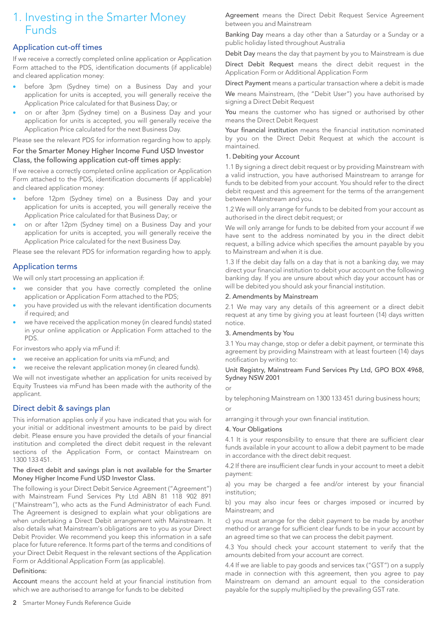# 1. Investing in the Smarter Money Funds

# Application cut-off times

If we receive a correctly completed online application or Application Form attached to the PDS, identification documents (if applicable) and cleared application money:

- before 3pm (Sydney time) on a Business Day and your application for units is accepted, you will generally receive the Application Price calculated for that Business Day; or
- on or after 3pm (Sydney time) on a Business Day and your application for units is accepted, you will generally receive the Application Price calculated for the next Business Day.

Please see the relevant PDS for information regarding how to apply.

### For the Smarter Money Higher Income Fund USD Investor Class, the following application cut-off times apply:

If we receive a correctly completed online application or Application Form attached to the PDS, identification documents (if applicable) and cleared application money:

- before 12pm (Sydney time) on a Business Day and your application for units is accepted, you will generally receive the Application Price calculated for that Business Day; or
- on or after 12pm (Sydney time) on a Business Day and your application for units is accepted, you will generally receive the Application Price calculated for the next Business Day.

Please see the relevant PDS for information regarding how to apply.

# Application terms

We will only start processing an application if:

- we consider that you have correctly completed the online application or Application Form attached to the PDS;
- you have provided us with the relevant identification documents if required; and
- we have received the application money (in cleared funds) stated in your online application or Application Form attached to the PDS.

For investors who apply via mFund if:

- we receive an application for units via mFund; and
- we receive the relevant application money (in cleared funds).

We will not investigate whether an application for units received by Equity Trustees via mFund has been made with the authority of the applicant.

# Direct debit & savings plan

This information applies only if you have indicated that you wish for your initial or additional investment amounts to be paid by direct debit. Please ensure you have provided the details of your financial institution and completed the direct debit request in the relevant sections of the Application Form, or contact Mainstream on 1300 133 451.

#### The direct debit and savings plan is not available for the Smarter Money Higher Income Fund USD Investor Class.

The following is your Direct Debit Service Agreement ("Agreement") with Mainstream Fund Services Pty Ltd ABN 81 118 902 891 ("Mainstream"), who acts as the Fund Administrator of each Fund. The Agreement is designed to explain what your obligations are when undertaking a Direct Debit arrangement with Mainstream. It also details what Mainstream's obligations are to you as your Direct Debit Provider. We recommend you keep this information in a safe place for future reference. It forms part of the terms and conditions of your Direct Debit Request in the relevant sections of the Application Form or Additional Application Form (as applicable).

#### Definitions:

Account means the account held at your financial institution from which we are authorised to arrange for funds to be debited

Agreement means the Direct Debit Request Service Agreement between you and Mainstream

Banking Day means a day other than a Saturday or a Sunday or a public holiday listed throughout Australia

Debit Day means the day that payment by you to Mainstream is due

Direct Debit Request means the direct debit request in the Application Form or Additional Application Form

Direct Payment means a particular transaction where a debit is made

We means Mainstream, (the "Debit User") you have authorised by signing a Direct Debit Request

You means the customer who has signed or authorised by other means the Direct Debit Request

Your financial institution means the financial institution nominated by you on the Direct Debit Request at which the account is maintained.

#### 1. Debiting your Account

1.1 By signing a direct debit request or by providing Mainstream with a valid instruction, you have authorised Mainstream to arrange for funds to be debited from your account. You should refer to the direct debit request and this agreement for the terms of the arrangement between Mainstream and you.

1.2 We will only arrange for funds to be debited from your account as authorised in the direct debit request; or

We will only arrange for funds to be debited from your account if we have sent to the address nominated by you in the direct debit request, a billing advice which specifies the amount payable by you to Mainstream and when it is due.

1.3 If the debit day falls on a day that is not a banking day, we may direct your financial institution to debit your account on the following banking day. If you are unsure about which day your account has or will be debited you should ask your financial institution.

#### 2. Amendments by Mainstream

2.1 We may vary any details of this agreement or a direct debit request at any time by giving you at least fourteen (14) days written notice.

#### 3. Amendments by You

3.1 You may change, stop or defer a debit payment, or terminate this agreement by providing Mainstream with at least fourteen (14) days notification by writing to:

#### Unit Registry, Mainstream Fund Services Pty Ltd, GPO BOX 4968, Sydney NSW 2001

or

by telephoning Mainstream on 1300 133 451 during business hours; or

arranging it through your own financial institution.

#### 4. Your Obligations

4.1 It is your responsibility to ensure that there are sufficient clear funds available in your account to allow a debit payment to be made in accordance with the direct debit request.

4.2 If there are insufficient clear funds in your account to meet a debit payment:

a) you may be charged a fee and/or interest by your financial institution;

b) you may also incur fees or charges imposed or incurred by Mainstream; and

c) you must arrange for the debit payment to be made by another method or arrange for sufficient clear funds to be in your account by an agreed time so that we can process the debit payment.

4.3 You should check your account statement to verify that the amounts debited from your account are correct.

4.4 If we are liable to pay goods and services tax ("GST") on a supply made in connection with this agreement, then you agree to pay Mainstream on demand an amount equal to the consideration payable for the supply multiplied by the prevailing GST rate.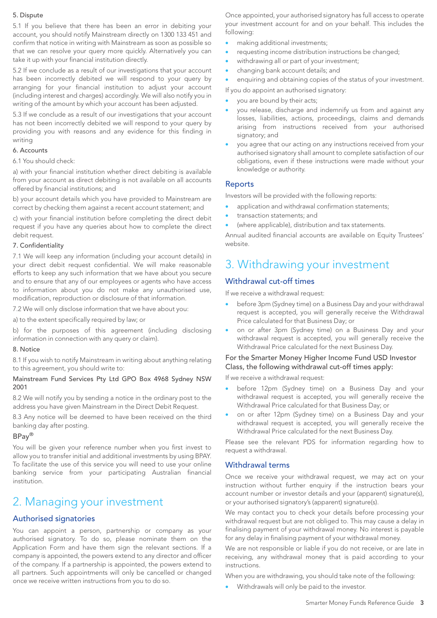#### 5. Dispute

5.1 If you believe that there has been an error in debiting your account, you should notify Mainstream directly on 1300 133 451 and confirm that notice in writing with Mainstream as soon as possible so that we can resolve your query more quickly. Alternatively you can take it up with your financial institution directly.

5.2 If we conclude as a result of our investigations that your account has been incorrectly debited we will respond to your query by arranging for your financial institution to adjust your account (including interest and charges) accordingly. We will also notify you in writing of the amount by which your account has been adjusted.

5.3 If we conclude as a result of our investigations that your account has not been incorrectly debited we will respond to your query by providing you with reasons and any evidence for this finding in writing

#### 6. Accounts

#### 6.1 You should check:

a) with your financial institution whether direct debiting is available from your account as direct debiting is not available on all accounts offered by financial institutions; and

b) your account details which you have provided to Mainstream are correct by checking them against a recent account statement; and

c) with your financial institution before completing the direct debit request if you have any queries about how to complete the direct debit request.

#### 7. Confidentiality

7.1 We will keep any information (including your account details) in your direct debit request confidential. We will make reasonable efforts to keep any such information that we have about you secure and to ensure that any of our employees or agents who have access to information about you do not make any unauthorised use, modification, reproduction or disclosure of that information.

7.2 We will only disclose information that we have about you:

a) to the extent specifically required by law; or

b) for the purposes of this agreement (including disclosing information in connection with any query or claim).

#### 8. Notice

8.1 If you wish to notify Mainstream in writing about anything relating to this agreement, you should write to:

#### Mainstream Fund Services Pty Ltd GPO Box 4968 Sydney NSW 2001

8.2 We will notify you by sending a notice in the ordinary post to the address you have given Mainstream in the Direct Debit Request.

8.3 Any notice will be deemed to have been received on the third banking day after posting.

# BPay®

You will be given your reference number when you first invest to allow you to transfer initial and additional investments by using BPAY. To facilitate the use of this service you will need to use your online banking service from your participating Australian financial institution.

# 2. Managing your investment

# Authorised signatories

You can appoint a person, partnership or company as your authorised signatory. To do so, please nominate them on the Application Form and have them sign the relevant sections. If a company is appointed, the powers extend to any director and officer of the company. If a partnership is appointed, the powers extend to all partners. Such appointments will only be cancelled or changed once we receive written instructions from you to do so.

Once appointed, your authorised signatory has full access to operate your investment account for and on your behalf. This includes the following:

- making additional investments;
- requesting income distribution instructions be changed;
- withdrawing all or part of your investment;
- changing bank account details; and
- enquiring and obtaining copies of the status of your investment.

If you do appoint an authorised signatory:

- you are bound by their acts;
- you release, discharge and indemnify us from and against any losses, liabilities, actions, proceedings, claims and demands arising from instructions received from your authorised signatory; and
- you agree that our acting on any instructions received from your authorised signatory shall amount to complete satisfaction of our obligations, even if these instructions were made without your knowledge or authority.

#### Reports

Investors will be provided with the following reports:

- application and withdrawal confirmation statements:
- transaction statements; and
- (where applicable), distribution and tax statements.

Annual audited financial accounts are available on Equity Trustees' website.

# 3. Withdrawing your investment

# Withdrawal cut-off times

If we receive a withdrawal request:

- before 3pm (Sydney time) on a Business Day and your withdrawal request is accepted, you will generally receive the Withdrawal Price calculated for that Business Day; or
- on or after 3pm (Sydney time) on a Business Day and your withdrawal request is accepted, you will generally receive the Withdrawal Price calculated for the next Business Day.

### For the Smarter Money Higher Income Fund USD Investor Class, the following withdrawal cut-off times apply:

If we receive a withdrawal request:

- before 12pm (Sydney time) on a Business Day and your withdrawal request is accepted, you will generally receive the Withdrawal Price calculated for that Business Day; or
- on or after 12pm (Sydney time) on a Business Day and your withdrawal request is accepted, you will generally receive the Withdrawal Price calculated for the next Business Day.

Please see the relevant PDS for information regarding how to request a withdrawal.

#### Withdrawal terms

Once we receive your withdrawal request, we may act on your instruction without further enquiry if the instruction bears your account number or investor details and your (apparent) signature(s), or your authorised signatory's (apparent) signature(s).

We may contact you to check your details before processing your withdrawal request but are not obliged to. This may cause a delay in finalising payment of your withdrawal money. No interest is payable for any delay in finalising payment of your withdrawal money.

We are not responsible or liable if you do not receive, or are late in receiving, any withdrawal money that is paid according to your instructions.

When you are withdrawing, you should take note of the following:

• Withdrawals will only be paid to the investor.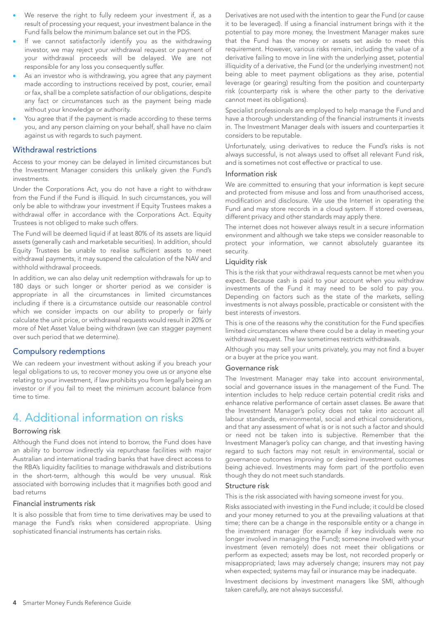- We reserve the right to fully redeem your investment if, as a result of processing your request, your investment balance in the Fund falls below the minimum balance set out in the PDS.
- If we cannot satisfactorily identify you as the withdrawing investor, we may reject your withdrawal request or payment of your withdrawal proceeds will be delayed. We are not responsible for any loss you consequently suffer.
- As an investor who is withdrawing, you agree that any payment made according to instructions received by post, courier, email or fax, shall be a complete satisfaction of our obligations, despite any fact or circumstances such as the payment being made without your knowledge or authority.
- You agree that if the payment is made according to these terms you, and any person claiming on your behalf, shall have no claim against us with regards to such payment.

### Withdrawal restrictions

Access to your money can be delayed in limited circumstances but the Investment Manager considers this unlikely given the Fund's investments.

Under the Corporations Act, you do not have a right to withdraw from the Fund if the Fund is illiquid. In such circumstances, you will only be able to withdraw your investment if Equity Trustees makes a withdrawal offer in accordance with the Corporations Act. Equity Trustees is not obliged to make such offers.

The Fund will be deemed liquid if at least 80% of its assets are liquid assets (generally cash and marketable securities). In addition, should Equity Trustees be unable to realise sufficient assets to meet withdrawal payments, it may suspend the calculation of the NAV and withhold withdrawal proceeds.

In addition, we can also delay unit redemption withdrawals for up to 180 days or such longer or shorter period as we consider is appropriate in all the circumstances in limited circumstances including if there is a circumstance outside our reasonable control which we consider impacts on our ability to properly or fairly calculate the unit price, or withdrawal requests would result in 20% or more of Net Asset Value being withdrawn (we can stagger payment over such period that we determine).

# Compulsory redemptions

We can redeem your investment without asking if you breach your legal obligations to us, to recover money you owe us or anyone else relating to your investment, if law prohibits you from legally being an investor or if you fail to meet the minimum account balance from time to time.

# 4. Additional information on risks

#### Borrowing risk

Although the Fund does not intend to borrow, the Fund does have an ability to borrow indirectly via repurchase facilities with major Australian and international trading banks that have direct access to the RBA's liquidity facilities to manage withdrawals and distributions in the short-term, although this would be very unusual. Risk associated with borrowing includes that it magnifies both good and bad returns

#### Financial instruments risk

It is also possible that from time to time derivatives may be used to manage the Fund's risks when considered appropriate. Using sophisticated financial instruments has certain risks.

Derivatives are not used with the intention to gear the Fund (or cause it to be leveraged). If using a financial instrument brings with it the potential to pay more money, the Investment Manager makes sure that the Fund has the money or assets set aside to meet this requirement. However, various risks remain, including the value of a derivative failing to move in line with the underlying asset, potential illiquidity of a derivative, the Fund (or the underlying investment) not being able to meet payment obligations as they arise, potential leverage (or gearing) resulting from the position and counterparty risk (counterparty risk is where the other party to the derivative cannot meet its obligations).

Specialist professionals are employed to help manage the Fund and have a thorough understanding of the financial instruments it invests in. The Investment Manager deals with issuers and counterparties it considers to be reputable.

Unfortunately, using derivatives to reduce the Fund's risks is not always successful, is not always used to offset all relevant Fund risk, and is sometimes not cost effective or practical to use.

#### Information risk

We are committed to ensuring that your information is kept secure and protected from misuse and loss and from unauthorised access, modification and disclosure. We use the Internet in operating the Fund and may store records in a cloud system. If stored overseas, different privacy and other standards may apply there.

The internet does not however always result in a secure information environment and although we take steps we consider reasonable to protect your information, we cannot absolutely guarantee its security.

#### Liquidity risk

This is the risk that your withdrawal requests cannot be met when you expect. Because cash is paid to your account when you withdraw investments of the Fund it may need to be sold to pay you. Depending on factors such as the state of the markets, selling investments is not always possible, practicable or consistent with the best interests of investors.

This is one of the reasons why the constitution for the Fund specifies limited circumstances where there could be a delay in meeting your withdrawal request. The law sometimes restricts withdrawals.

Although you may sell your units privately, you may not find a buyer or a buyer at the price you want.

#### Governance risk

The Investment Manager may take into account environmental, social and governance issues in the management of the Fund. The intention includes to help reduce certain potential credit risks and enhance relative performance of certain asset classes. Be aware that the Investment Manager's policy does not take into account all labour standards, environmental, social and ethical considerations, and that any assessment of what is or is not such a factor and should or need not be taken into is subjective. Remember that the Investment Manager's policy can change, and that investing having regard to such factors may not result in environmental, social or governance outcomes improving or desired investment outcomes being achieved. Investments may form part of the portfolio even though they do not meet such standards.

#### Structure risk

This is the risk associated with having someone invest for you.

Risks associated with investing in the Fund include; it could be closed and your money returned to you at the prevailing valuations at that time; there can be a change in the responsible entity or a change in the investment manager (for example if key individuals were no longer involved in managing the Fund); someone involved with your investment (even remotely) does not meet their obligations or perform as expected; assets may be lost, not recorded properly or misappropriated; laws may adversely change; insurers may not pay when expected; systems may fail or insurance may be inadequate.

Investment decisions by investment managers like SMI, although taken carefully, are not always successful.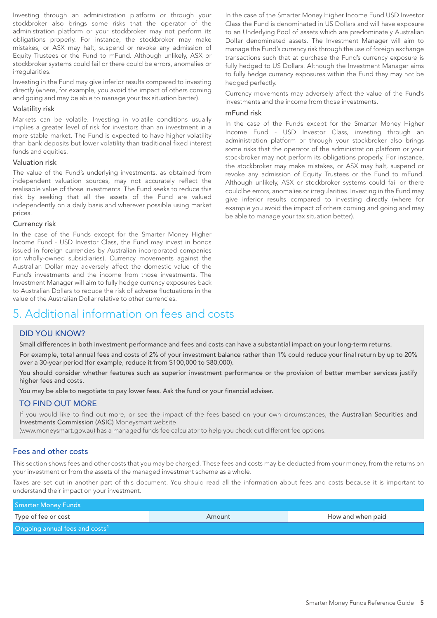Investing through an administration platform or through your stockbroker also brings some risks that the operator of the administration platform or your stockbroker may not perform its obligations properly. For instance, the stockbroker may make mistakes, or ASX may halt, suspend or revoke any admission of Equity Trustees or the Fund to mFund. Although unlikely, ASX or stockbroker systems could fail or there could be errors, anomalies or irregularities.

Investing in the Fund may give inferior results compared to investing directly (where, for example, you avoid the impact of others coming and going and may be able to manage your tax situation better).

#### Volatility risk

Markets can be volatile. Investing in volatile conditions usually implies a greater level of risk for investors than an investment in a more stable market. The Fund is expected to have higher volatility than bank deposits but lower volatility than traditional fixed interest funds and equities.

#### Valuation risk

The value of the Fund's underlying investments, as obtained from independent valuation sources, may not accurately reflect the realisable value of those investments. The Fund seeks to reduce this risk by seeking that all the assets of the Fund are valued independently on a daily basis and wherever possible using market prices.

#### Currency risk

In the case of the Funds except for the Smarter Money Higher Income Fund - USD Investor Class, the Fund may invest in bonds issued in foreign currencies by Australian incorporated companies (or wholly-owned subsidiaries). Currency movements against the Australian Dollar may adversely affect the domestic value of the Fund's investments and the income from those investments. The Investment Manager will aim to fully hedge currency exposures back to Australian Dollars to reduce the risk of adverse fluctuations in the value of the Australian Dollar relative to other currencies.

# 5. Additional information on fees and costs

#### DID YOU KNOW?

Small differences in both investment performance and fees and costs can have a substantial impact on your long-term returns.

For example, total annual fees and costs of 2% of your investment balance rather than 1% could reduce your final return by up to 20% over a 30-year period (for example, reduce it from \$100,000 to \$80,000).

You should consider whether features such as superior investment performance or the provision of better member services justify higher fees and costs.

You may be able to negotiate to pay lower fees. Ask the fund or your financial adviser.

# TO FIND OUT MORE

If you would like to find out more, or see the impact of the fees based on your own circumstances, the Australian Securities and Investments Commission (ASIC) Moneysmart website

(www.moneysmart.gov.au) has a managed funds fee calculator to help you check out different fee options.

# Fees and other costs

This section shows fees and other costs that you may be charged. These fees and costs may be deducted from your money, from the returns on your investment or from the assets of the managed investment scheme as a whole.

Taxes are set out in another part of this document. You should read all the information about fees and costs because it is important to understand their impact on your investment.

| <b>Smarter Money Funds</b>                 |        |                   |
|--------------------------------------------|--------|-------------------|
| Type of fee or cost                        | Amount | How and when paid |
| Ongoing annual fees and costs <sup>1</sup> |        |                   |

In the case of the Smarter Money Higher Income Fund USD Investor Class the Fund is denominated in US Dollars and will have exposure to an Underlying Pool of assets which are predominately Australian Dollar denominated assets. The Investment Manager will aim to manage the Fund's currency risk through the use of foreign exchange transactions such that at purchase the Fund's currency exposure is fully hedged to US Dollars. Although the Investment Manager aims to fully hedge currency exposures within the Fund they may not be hedged perfectly.

Currency movements may adversely affect the value of the Fund's investments and the income from those investments.

#### mFund risk

In the case of the Funds except for the Smarter Money Higher Income Fund - USD Investor Class, investing through an administration platform or through your stockbroker also brings some risks that the operator of the administration platform or your stockbroker may not perform its obligations properly. For instance, the stockbroker may make mistakes, or ASX may halt, suspend or revoke any admission of Equity Trustees or the Fund to mFund. Although unlikely, ASX or stockbroker systems could fail or there could be errors, anomalies or irregularities. Investing in the Fund may give inferior results compared to investing directly (where for example you avoid the impact of others coming and going and may be able to manage your tax situation better).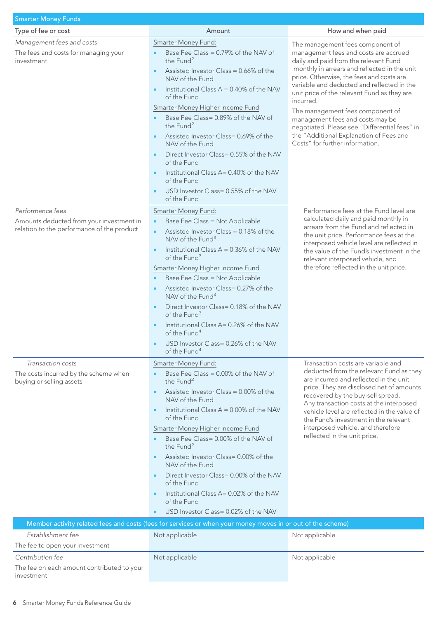| <b>Smarter Money Funds</b>                                                                                 |                                                                                                                                                                                                                                                                                                                                                                                                                                                                                                                                                                                           |                                                                                                                                                                                                                                                                                                                                                                                                                                                                                                                                 |
|------------------------------------------------------------------------------------------------------------|-------------------------------------------------------------------------------------------------------------------------------------------------------------------------------------------------------------------------------------------------------------------------------------------------------------------------------------------------------------------------------------------------------------------------------------------------------------------------------------------------------------------------------------------------------------------------------------------|---------------------------------------------------------------------------------------------------------------------------------------------------------------------------------------------------------------------------------------------------------------------------------------------------------------------------------------------------------------------------------------------------------------------------------------------------------------------------------------------------------------------------------|
| Type of fee or cost                                                                                        | Amount                                                                                                                                                                                                                                                                                                                                                                                                                                                                                                                                                                                    | How and when paid                                                                                                                                                                                                                                                                                                                                                                                                                                                                                                               |
| Management fees and costs<br>The fees and costs for managing your<br>investment                            | Smarter Money Fund:<br>Base Fee Class = 0.79% of the NAV of<br>the Fund <sup>2</sup><br>Assisted Investor Class = 0.66% of the<br>NAV of the Fund<br>Institutional Class $A = 0.40\%$ of the NAV<br>of the Fund<br>Smarter Money Higher Income Fund<br>Base Fee Class= 0.89% of the NAV of<br>the Fund <sup>2</sup><br>Assisted Investor Class=0.69% of the<br>NAV of the Fund<br>Direct Investor Class= 0.55% of the NAV<br>of the Fund<br>Institutional Class A= 0.40% of the NAV<br>of the Fund<br>USD Investor Class= 0.55% of the NAV<br>of the Fund                                 | The management fees component of<br>management fees and costs are accrued<br>daily and paid from the relevant Fund<br>monthly in arrears and reflected in the unit<br>price. Otherwise, the fees and costs are<br>variable and deducted and reflected in the<br>unit price of the relevant Fund as they are<br>incurred.<br>The management fees component of<br>management fees and costs may be<br>negotiated. Please see "Differential fees" in<br>the "Additional Explanation of Fees and<br>Costs" for further information. |
| Performance fees<br>Amounts deducted from your investment in<br>relation to the performance of the product | Smarter Money Fund:<br>Base Fee Class = Not Applicable<br>Assisted Investor Class = 0.18% of the<br>$\bullet$<br>NAV of the Fund <sup>3</sup><br>Institutional Class $A = 0.36\%$ of the NAV<br>of the Fund <sup>3</sup><br>Smarter Money Higher Income Fund<br>Base Fee Class = Not Applicable<br>Assisted Investor Class=0.27% of the<br>NAV of the Fund <sup>3</sup><br>Direct Investor Class= 0.18% of the NAV<br>of the Fund <sup>3</sup><br>Institutional Class A= 0.26% of the NAV<br>of the Fund <sup>4</sup><br>USD Investor Class= 0.26% of the NAV<br>of the Fund <sup>4</sup> | Performance fees at the Fund level are<br>calculated daily and paid monthly in<br>arrears from the Fund and reflected in<br>the unit price. Performance fees at the<br>interposed vehicle level are reflected in<br>the value of the Fund's investment in the<br>relevant interposed vehicle, and<br>therefore reflected in the unit price.                                                                                                                                                                                     |
| Transaction costs<br>The costs incurred by the scheme when<br>buying or selling assets                     | Smarter Money Fund:<br>Base Fee Class = 0.00% of the NAV of<br>the Fund <sup>2</sup><br>Assisted Investor Class = $0.00\%$ of the<br>NAV of the Fund<br>Institutional Class $A = 0.00\%$ of the NAV<br>of the Fund<br>Smarter Money Higher Income Fund<br>Base Fee Class= 0.00% of the NAV of<br>the Fund <sup>2</sup><br>Assisted Investor Class=0.00% of the<br>NAV of the Fund<br>Direct Investor Class= 0.00% of the NAV<br>of the Fund<br>Institutional Class A= 0.02% of the NAV<br>of the Fund<br>USD Investor Class= 0.02% of the NAV                                             | Transaction costs are variable and<br>deducted from the relevant Fund as they<br>are incurred and reflected in the unit<br>price. They are disclosed net of amounts<br>recovered by the buy-sell spread.<br>Any transaction costs at the interposed<br>vehicle level are reflected in the value of<br>the Fund's investment in the relevant<br>interposed vehicle, and therefore<br>reflected in the unit price.                                                                                                                |
|                                                                                                            | Member activity related fees and costs (fees for services or when your money moves in or out of the scheme)                                                                                                                                                                                                                                                                                                                                                                                                                                                                               |                                                                                                                                                                                                                                                                                                                                                                                                                                                                                                                                 |
| Establishment fee<br>The fee to open your investment                                                       | Not applicable                                                                                                                                                                                                                                                                                                                                                                                                                                                                                                                                                                            | Not applicable                                                                                                                                                                                                                                                                                                                                                                                                                                                                                                                  |
| Contribution fee<br>The fee on each amount contributed to your<br>investment                               | Not applicable                                                                                                                                                                                                                                                                                                                                                                                                                                                                                                                                                                            | Not applicable                                                                                                                                                                                                                                                                                                                                                                                                                                                                                                                  |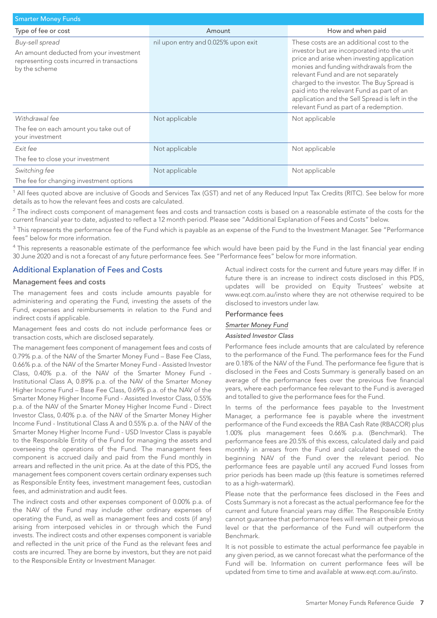| <b>Smarter Money Funds</b>                                                                                                 |                                     |                                                                                                                                                                                                                                                                                                                                                                                                                  |  |
|----------------------------------------------------------------------------------------------------------------------------|-------------------------------------|------------------------------------------------------------------------------------------------------------------------------------------------------------------------------------------------------------------------------------------------------------------------------------------------------------------------------------------------------------------------------------------------------------------|--|
| Type of fee or cost                                                                                                        | Amount                              | How and when paid                                                                                                                                                                                                                                                                                                                                                                                                |  |
| Buy-sell spread<br>An amount deducted from your investment<br>representing costs incurred in transactions<br>by the scheme | nil upon entry and 0.025% upon exit | These costs are an additional cost to the<br>investor but are incorporated into the unit<br>price and arise when investing application<br>monies and funding withdrawals from the<br>relevant Fund and are not separately<br>charged to the investor. The Buy Spread is<br>paid into the relevant Fund as part of an<br>application and the Sell Spread is left in the<br>relevant Fund as part of a redemption. |  |
| Withdrawal fee<br>The fee on each amount you take out of<br>your investment                                                | Not applicable                      | Not applicable                                                                                                                                                                                                                                                                                                                                                                                                   |  |
| Exit fee<br>The fee to close your investment                                                                               | Not applicable                      | Not applicable                                                                                                                                                                                                                                                                                                                                                                                                   |  |
| Switching fee<br>The fee for changing investment options                                                                   | Not applicable                      | Not applicable                                                                                                                                                                                                                                                                                                                                                                                                   |  |

<sup>1</sup> All fees quoted above are inclusive of Goods and Services Tax (GST) and net of any Reduced Input Tax Credits (RITC). See below for more details as to how the relevant fees and costs are calculated.

 $2$  The indirect costs component of management fees and costs and transaction costs is based on a reasonable estimate of the costs for the current financial year to date, adjusted to reflect a 12 month period. Please see "Additional Explanation of Fees and Costs" below.

 $3$  This represents the performance fee of the Fund which is payable as an expense of the Fund to the Investment Manager. See "Performance fees" below for more information.

<sup>4</sup> This represents a reasonable estimate of the performance fee which would have been paid by the Fund in the last financial year ending 30 June 2020 and is not a forecast of any future performance fees. See "Performance fees" below for more information.

# Additional Explanation of Fees and Costs

#### Management fees and costs

The management fees and costs include amounts payable for administering and operating the Fund, investing the assets of the Fund, expenses and reimbursements in relation to the Fund and indirect costs if applicable.

Management fees and costs do not include performance fees or transaction costs, which are disclosed separately.

The management fees component of management fees and costs of 0.79% p.a. of the NAV of the Smarter Money Fund – Base Fee Class, 0.66% p.a. of the NAV of the Smarter Money Fund - Assisted Investor Class, 0.40% p.a. of the NAV of the Smarter Money Fund - Institutional Class A, 0.89% p.a. of the NAV of the Smarter Money Higher Income Fund – Base Fee Class, 0.69% p.a. of the NAV of the Smarter Money Higher Income Fund - Assisted Investor Class, 0.55% p.a. of the NAV of the Smarter Money Higher Income Fund - Direct Investor Class, 0.40% p.a. of the NAV of the Smarter Money Higher Income Fund - Institutional Class A and 0.55% p.a. of the NAV of the Smarter Money Higher Income Fund - USD Investor Class is payable to the Responsible Entity of the Fund for managing the assets and overseeing the operations of the Fund. The management fees component is accrued daily and paid from the Fund monthly in arrears and reflected in the unit price. As at the date of this PDS, the management fees component covers certain ordinary expenses such as Responsible Entity fees, investment management fees, custodian fees, and administration and audit fees.

The indirect costs and other expenses component of 0.00% p.a. of the NAV of the Fund may include other ordinary expenses of operating the Fund, as well as management fees and costs (if any) arising from interposed vehicles in or through which the Fund invests. The indirect costs and other expenses component is variable and reflected in the unit price of the Fund as the relevant fees and costs are incurred. They are borne by investors, but they are not paid to the Responsible Entity or Investment Manager.

Actual indirect costs for the current and future years may differ. If in future there is an increase to indirect costs disclosed in this PDS, updates will be provided on Equity Trustees' website at www.eqt.com.au/insto where they are not otherwise required to be disclosed to investors under law.

### Performance fees

#### *Smarter Money Fund*

#### *Assisted Investor Class*

Performance fees include amounts that are calculated by reference to the performance of the Fund. The performance fees for the Fund are 0.18% of the NAV of the Fund. The performance fee figure that is disclosed in the Fees and Costs Summary is generally based on an average of the performance fees over the previous five financial years, where each performance fee relevant to the Fund is averaged and totalled to give the performance fees for the Fund.

In terms of the performance fees payable to the Investment Manager, a performance fee is payable where the investment performance of the Fund exceeds the RBA Cash Rate (RBACOR) plus 1.00% plus management fees 0.66% p.a. (Benchmark). The performance fees are 20.5% of this excess, calculated daily and paid monthly in arrears from the Fund and calculated based on the beginning NAV of the Fund over the relevant period. No performance fees are payable until any accrued Fund losses from prior periods has been made up (this feature is sometimes referred to as a high-watermark).

Please note that the performance fees disclosed in the Fees and Costs Summary is not a forecast as the actual performance fee for the current and future financial years may differ. The Responsible Entity cannot guarantee that performance fees will remain at their previous level or that the performance of the Fund will outperform the Benchmark.

It is not possible to estimate the actual performance fee payable in any given period, as we cannot forecast what the performance of the Fund will be. Information on current performance fees will be updated from time to time and available at www.eqt.com.au/insto.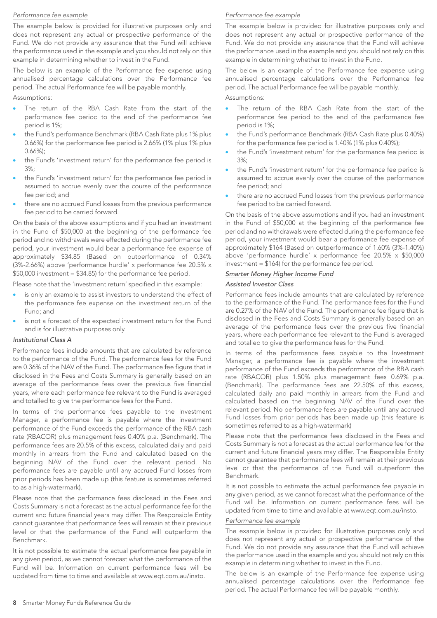#### *Performance fee example*

The example below is provided for illustrative purposes only and does not represent any actual or prospective performance of the Fund. We do not provide any assurance that the Fund will achieve the performance used in the example and you should not rely on this example in determining whether to invest in the Fund.

The below is an example of the Performance fee expense using annualised percentage calculations over the Performance fee period. The actual Performance fee will be payable monthly. Assumptions:

The return of the RBA Cash Rate from the start of the performance fee period to the end of the performance fee period is 1%;

- the Fund's performance Benchmark (RBA Cash Rate plus 1% plus 0.66%) for the performance fee period is 2.66% (1% plus 1% plus 0.66%);
- the Fund's 'investment return' for the performance fee period is 3%;
- the Fund's 'investment return' for the performance fee period is assumed to accrue evenly over the course of the performance fee period; and
- there are no accrued Fund losses from the previous performance fee period to be carried forward.

On the basis of the above assumptions and if you had an investment in the Fund of \$50,000 at the beginning of the performance fee period and no withdrawals were effected during the performance fee period, your investment would bear a performance fee expense of approximately \$34.85 (Based on outperformance of 0.34% (3%-2.66%) above 'performance hurdle' x performance fee 20.5% x \$50,000 investment = \$34.85) for the performance fee period.

Please note that the 'investment return' specified in this example:

- is only an example to assist investors to understand the effect of the performance fee expense on the investment return of the Fund; and
- is not a forecast of the expected investment return for the Fund and is for illustrative purposes only.

#### *Institutional Class A*

Performance fees include amounts that are calculated by reference to the performance of the Fund. The performance fees for the Fund are 0.36% of the NAV of the Fund. The performance fee figure that is disclosed in the Fees and Costs Summary is generally based on an average of the performance fees over the previous five financial years, where each performance fee relevant to the Fund is averaged and totalled to give the performance fees for the Fund.

In terms of the performance fees payable to the Investment Manager, a performance fee is payable where the investment performance of the Fund exceeds the performance of the RBA cash rate (RBACOR) plus management fees 0.40% p.a. (Benchmark). The performance fees are 20.5% of this excess, calculated daily and paid monthly in arrears from the Fund and calculated based on the beginning NAV of the Fund over the relevant period. No performance fees are payable until any accrued Fund losses from prior periods has been made up (this feature is sometimes referred to as a high-watermark).

Please note that the performance fees disclosed in the Fees and Costs Summary is not a forecast as the actual performance fee for the current and future financial years may differ. The Responsible Entity cannot guarantee that performance fees will remain at their previous level or that the performance of the Fund will outperform the Benchmark.

It is not possible to estimate the actual performance fee payable in any given period, as we cannot forecast what the performance of the Fund will be. Information on current performance fees will be updated from time to time and available at www.eqt.com.au/insto.

#### *Performance fee example*

The example below is provided for illustrative purposes only and does not represent any actual or prospective performance of the Fund. We do not provide any assurance that the Fund will achieve the performance used in the example and you should not rely on this example in determining whether to invest in the Fund.

The below is an example of the Performance fee expense using annualised percentage calculations over the Performance fee period. The actual Performance fee will be payable monthly.

Assumptions:

- The return of the RBA Cash Rate from the start of the performance fee period to the end of the performance fee period is 1%;
- the Fund's performance Benchmark (RBA Cash Rate plus 0.40%) for the performance fee period is 1.40% (1% plus 0.40%);
- the Fund's 'investment return' for the performance fee period is 3%;
- the Fund's 'investment return' for the performance fee period is assumed to accrue evenly over the course of the performance fee period; and
- there are no accrued Fund losses from the previous performance fee period to be carried forward.

On the basis of the above assumptions and if you had an investment in the Fund of \$50,000 at the beginning of the performance fee period and no withdrawals were effected during the performance fee period, your investment would bear a performance fee expense of approximately \$164 (Based on outperformance of 1.60% (3%-1.40%) above 'performance hurdle' x performance fee 20.5% x \$50,000 investment = \$164) for the performance fee period.

#### *Smarter Money Higher Income Fund*

#### *Assisted Investor Class*

Performance fees include amounts that are calculated by reference to the performance of the Fund. The performance fees for the Fund are 0.27% of the NAV of the Fund. The performance fee figure that is disclosed in the Fees and Costs Summary is generally based on an average of the performance fees over the previous five financial years, where each performance fee relevant to the Fund is averaged and totalled to give the performance fees for the Fund.

In terms of the performance fees payable to the Investment Manager, a performance fee is payable where the investment performance of the Fund exceeds the performance of the RBA cash rate (RBACOR) plus 1.50% plus management fees 0.69% p.a. (Benchmark). The performance fees are 22.50% of this excess, calculated daily and paid monthly in arrears from the Fund and calculated based on the beginning NAV of the Fund over the relevant period. No performance fees are payable until any accrued Fund losses from prior periods has been made up (this feature is sometimes referred to as a high-watermark)

Please note that the performance fees disclosed in the Fees and Costs Summary is not a forecast as the actual performance fee for the current and future financial years may differ. The Responsible Entity cannot guarantee that performance fees will remain at their previous level or that the performance of the Fund will outperform the Benchmark.

It is not possible to estimate the actual performance fee payable in any given period, as we cannot forecast what the performance of the Fund will be. Information on current performance fees will be updated from time to time and available at www.eqt.com.au/insto.

### *Performance fee example*

The example below is provided for illustrative purposes only and does not represent any actual or prospective performance of the Fund. We do not provide any assurance that the Fund will achieve the performance used in the example and you should not rely on this example in determining whether to invest in the Fund.

The below is an example of the Performance fee expense using annualised percentage calculations over the Performance fee period. The actual Performance fee will be payable monthly.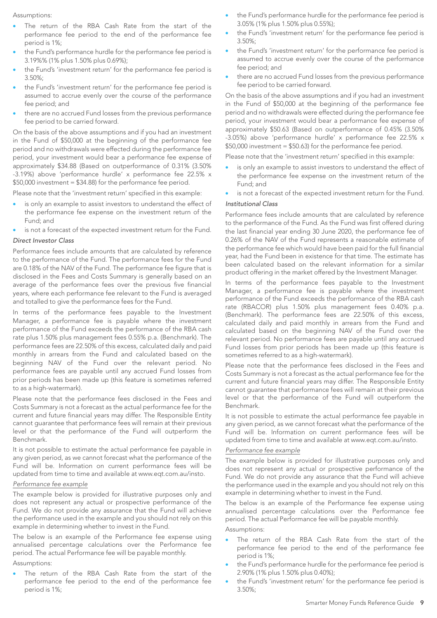Assumptions:

- The return of the RBA Cash Rate from the start of the performance fee period to the end of the performance fee period is 1%;
- the Fund's performance hurdle for the performance fee period is 3.19%% (1% plus 1.50% plus 0.69%);
- the Fund's 'investment return' for the performance fee period is 3.50%;
- the Fund's 'investment return' for the performance fee period is assumed to accrue evenly over the course of the performance fee period; and
- there are no accrued Fund losses from the previous performance fee period to be carried forward.

On the basis of the above assumptions and if you had an investment in the Fund of \$50,000 at the beginning of the performance fee period and no withdrawals were effected during the performance fee period, your investment would bear a performance fee expense of approximately \$34.88 (Based on outperformance of 0.31% (3.50% -3.19%) above 'performance hurdle' x performance fee 22.5% x \$50,000 investment = \$34.88) for the performance fee period.

Please note that the 'investment return' specified in this example:

- is only an example to assist investors to understand the effect of the performance fee expense on the investment return of the Fund; and
- is not a forecast of the expected investment return for the Fund.

#### *Direct Investor Class*

Performance fees include amounts that are calculated by reference to the performance of the Fund. The performance fees for the Fund are 0.18% of the NAV of the Fund. The performance fee figure that is disclosed in the Fees and Costs Summary is generally based on an average of the performance fees over the previous five financial years, where each performance fee relevant to the Fund is averaged and totalled to give the performance fees for the Fund.

In terms of the performance fees payable to the Investment Manager, a performance fee is payable where the investment performance of the Fund exceeds the performance of the RBA cash rate plus 1.50% plus management fees 0.55% p.a. (Benchmark). The performance fees are 22.50% of this excess, calculated daily and paid monthly in arrears from the Fund and calculated based on the beginning NAV of the Fund over the relevant period. No performance fees are payable until any accrued Fund losses from prior periods has been made up (this feature is sometimes referred to as a high-watermark).

Please note that the performance fees disclosed in the Fees and Costs Summary is not a forecast as the actual performance fee for the current and future financial years may differ. The Responsible Entity cannot guarantee that performance fees will remain at their previous level or that the performance of the Fund will outperform the Benchmark.

It is not possible to estimate the actual performance fee payable in any given period, as we cannot forecast what the performance of the Fund will be. Information on current performance fees will be updated from time to time and available at www.eqt.com.au/insto.

#### *Performance fee example*

The example below is provided for illustrative purposes only and does not represent any actual or prospective performance of the Fund. We do not provide any assurance that the Fund will achieve the performance used in the example and you should not rely on this example in determining whether to invest in the Fund.

The below is an example of the Performance fee expense using annualised percentage calculations over the Performance fee period. The actual Performance fee will be payable monthly.

Assumptions:

The return of the RBA Cash Rate from the start of the performance fee period to the end of the performance fee period is 1%;

- the Fund's performance hurdle for the performance fee period is 3.05% (1% plus 1.50% plus 0.55%);
- the Fund's 'investment return' for the performance fee period is 3.50%;
- the Fund's 'investment return' for the performance fee period is assumed to accrue evenly over the course of the performance fee period; and
- there are no accrued Fund losses from the previous performance fee period to be carried forward.

On the basis of the above assumptions and if you had an investment in the Fund of \$50,000 at the beginning of the performance fee period and no withdrawals were effected during the performance fee period, your investment would bear a performance fee expense of approximately \$50.63 (Based on outperformance of 0.45% (3.50% -3.05%) above 'performance hurdle' x performance fee 22.5% x \$50,000 investment = \$50.63) for the performance fee period.

Please note that the 'investment return' specified in this example:

- is only an example to assist investors to understand the effect of the performance fee expense on the investment return of the Fund; and
- is not a forecast of the expected investment return for the Fund.

#### *Institutional Class*

Performance fees include amounts that are calculated by reference to the performance of the Fund. As the Fund was first offered during the last financial year ending 30 June 2020, the performance fee of 0.26% of the NAV of the Fund represents a reasonable estimate of the performance fee which would have been paid for the full financial year, had the Fund been in existence for that time. The estimate has been calculated based on the relevant information for a similar product offering in the market offered by the Investment Manager.

In terms of the performance fees payable to the Investment Manager, a performance fee is payable where the investment performance of the Fund exceeds the performance of the RBA cash rate (RBACOR) plus 1.50% plus management fees 0.40% p.a. (Benchmark). The performance fees are 22.50% of this excess, calculated daily and paid monthly in arrears from the Fund and calculated based on the beginning NAV of the Fund over the relevant period. No performance fees are payable until any accrued Fund losses from prior periods has been made up (this feature is sometimes referred to as a high-watermark).

Please note that the performance fees disclosed in the Fees and Costs Summary is not a forecast as the actual performance fee for the current and future financial years may differ. The Responsible Entity cannot guarantee that performance fees will remain at their previous level or that the performance of the Fund will outperform the Benchmark.

It is not possible to estimate the actual performance fee payable in any given period, as we cannot forecast what the performance of the Fund will be. Information on current performance fees will be updated from time to time and available at www.eqt.com.au/insto.

#### *Performance fee example*

The example below is provided for illustrative purposes only and does not represent any actual or prospective performance of the Fund. We do not provide any assurance that the Fund will achieve the performance used in the example and you should not rely on this example in determining whether to invest in the Fund.

The below is an example of the Performance fee expense using annualised percentage calculations over the Performance fee period. The actual Performance fee will be payable monthly. Assumptions:

- The return of the RBA Cash Rate from the start of the performance fee period to the end of the performance fee period is 1%;
- the Fund's performance hurdle for the performance fee period is 2.90% (1% plus 1.50% plus 0.40%);
- the Fund's 'investment return' for the performance fee period is 3.50%;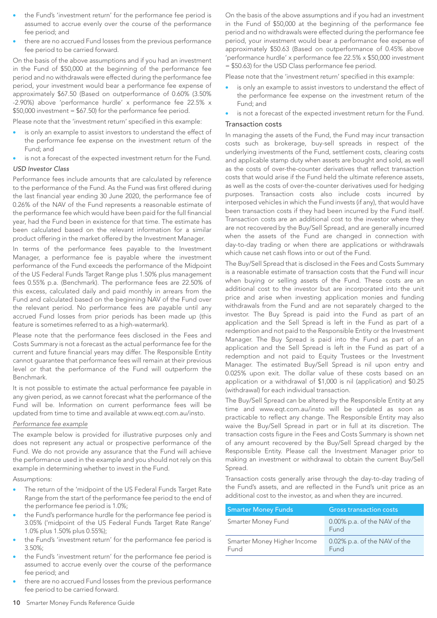- the Fund's 'investment return' for the performance fee period is assumed to accrue evenly over the course of the performance fee period; and
- there are no accrued Fund losses from the previous performance fee period to be carried forward.

On the basis of the above assumptions and if you had an investment in the Fund of \$50,000 at the beginning of the performance fee period and no withdrawals were effected during the performance fee period, your investment would bear a performance fee expense of approximately \$67.50 (Based on outperformance of 0.60% (3.50% -2.90%) above 'performance hurdle' x performance fee 22.5% x \$50,000 investment = \$67.50) for the performance fee period.

Please note that the 'investment return' specified in this example:

- is only an example to assist investors to understand the effect of the performance fee expense on the investment return of the Fund; and
- is not a forecast of the expected investment return for the Fund.

#### *USD Investor Class*

Performance fees include amounts that are calculated by reference to the performance of the Fund. As the Fund was first offered during the last financial year ending 30 June 2020, the performance fee of 0.26% of the NAV of the Fund represents a reasonable estimate of the performance fee which would have been paid for the full financial year, had the Fund been in existence for that time. The estimate has been calculated based on the relevant information for a similar product offering in the market offered by the Investment Manager.

In terms of the performance fees payable to the Investment Manager, a performance fee is payable where the investment performance of the Fund exceeds the performance of the Midpoint of the US Federal Funds Target Range plus 1.50% plus management fees 0.55% p.a. (Benchmark). The performance fees are 22.50% of this excess, calculated daily and paid monthly in arrears from the Fund and calculated based on the beginning NAV of the Fund over the relevant period. No performance fees are payable until any accrued Fund losses from prior periods has been made up (this feature is sometimes referred to as a high-watermark).

Please note that the performance fees disclosed in the Fees and Costs Summary is not a forecast as the actual performance fee for the current and future financial years may differ. The Responsible Entity cannot guarantee that performance fees will remain at their previous level or that the performance of the Fund will outperform the Benchmark.

It is not possible to estimate the actual performance fee payable in any given period, as we cannot forecast what the performance of the Fund will be. Information on current performance fees will be updated from time to time and available at www.eqt.com.au/insto.

#### *Performance fee example*

The example below is provided for illustrative purposes only and does not represent any actual or prospective performance of the Fund. We do not provide any assurance that the Fund will achieve the performance used in the example and you should not rely on this example in determining whether to invest in the Fund.

Assumptions:

- The return of the 'midpoint of the US Federal Funds Target Rate Range from the start of the performance fee period to the end of the performance fee period is 1.0%;
- the Fund's performance hurdle for the performance fee period is 3.05% ('midpoint of the US Federal Funds Target Rate Range' 1.0% plus 1.50% plus 0.55%);
- the Fund's 'investment return' for the performance fee period is 3.50%;
- the Fund's 'investment return' for the performance fee period is assumed to accrue evenly over the course of the performance fee period; and
- there are no accrued Fund losses from the previous performance fee period to be carried forward.

On the basis of the above assumptions and if you had an investment in the Fund of \$50,000 at the beginning of the performance fee period and no withdrawals were effected during the performance fee period, your investment would bear a performance fee expense of approximately \$50.63 (Based on outperformance of 0.45% above 'performance hurdle' x performance fee 22.5% x \$50,000 investment = \$50.63) for the USD Class performance fee period.

Please note that the 'investment return' specified in this example:

- is only an example to assist investors to understand the effect of the performance fee expense on the investment return of the Fund; and
- is not a forecast of the expected investment return for the Fund.

#### Transaction costs

In managing the assets of the Fund, the Fund may incur transaction costs such as brokerage, buy-sell spreads in respect of the underlying investments of the Fund, settlement costs, clearing costs and applicable stamp duty when assets are bought and sold, as well as the costs of over-the-counter derivatives that reflect transaction costs that would arise if the Fund held the ultimate reference assets, as well as the costs of over-the-counter derivatives used for hedging purposes. Transaction costs also include costs incurred by interposed vehicles in which the Fund invests (if any), that would have been transaction costs if they had been incurred by the Fund itself. Transaction costs are an additional cost to the investor where they are not recovered by the Buy/Sell Spread, and are generally incurred when the assets of the Fund are changed in connection with day-to-day trading or when there are applications or withdrawals which cause net cash flows into or out of the Fund.

The Buy/Sell Spread that is disclosed in the Fees and Costs Summary is a reasonable estimate of transaction costs that the Fund will incur when buying or selling assets of the Fund. These costs are an additional cost to the investor but are incorporated into the unit price and arise when investing application monies and funding withdrawals from the Fund and are not separately charged to the investor. The Buy Spread is paid into the Fund as part of an application and the Sell Spread is left in the Fund as part of a redemption and not paid to the Responsible Entity or the Investment Manager. The Buy Spread is paid into the Fund as part of an application and the Sell Spread is left in the Fund as part of a redemption and not paid to Equity Trustees or the Investment Manager. The estimated Buy/Sell Spread is nil upon entry and 0.025% upon exit. The dollar value of these costs based on an application or a withdrawal of \$1,000 is nil (application) and \$0.25 (withdrawal) for each individual transaction.

The Buy/Sell Spread can be altered by the Responsible Entity at any time and www.eqt.com.au/insto will be updated as soon as practicable to reflect any change. The Responsible Entity may also waive the Buy/Sell Spread in part or in full at its discretion. The transaction costs figure in the Fees and Costs Summary is shown net of any amount recovered by the Buy/Sell Spread charged by the Responsible Entity. Please call the Investment Manager prior to making an investment or withdrawal to obtain the current Buy/Sell Spread.

Transaction costs generally arise through the day-to-day trading of the Fund's assets, and are reflected in the Fund's unit price as an additional cost to the investor, as and when they are incurred.

| <b>Smarter Money Funds</b>          | <b>Gross transaction costs</b>       |
|-------------------------------------|--------------------------------------|
| Smarter Money Fund                  | 0.00% p.a. of the NAV of the<br>Fund |
| Smarter Money Higher Income<br>Fund | 0.02% p.a. of the NAV of the<br>Fund |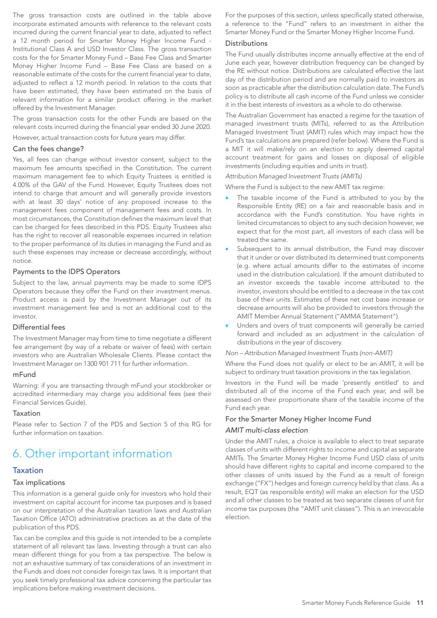The gross transaction costs are outlined in the table above incorporate estimated amounts with reference to the relevant costs incurred during the current financial year to date, adjusted to reflect a 12 month period for Smarter Money Higher Income Fund - Institutional Class A and USD Investor Class. The gross transaction costs for the for Smarter Money Fund – Base Fee Class and Smarter Money Higher Income Fund – Base Fee Class are based on a reasonable estimate of the costs for the current financial year to date, adjusted to reflect a 12 month period. In relation to the costs that have been estimated, they have been estimated on the basis of relevant information for a similar product offering in the market offered by the Investment Manager.

The gross transaction costs for the other Funds are based on the relevant costs incurred during the financial year ended 30 June 2020. However, actual transaction costs for future years may differ.

#### Can the fees change?

Yes, all fees can change without investor consent, subject to the maximum fee amounts specified in the Constitution. The current maximum management fee to which Equity Trustees is entitled is 4.00% of the GAV of the Fund. However, Equity Trustees does not intend to charge that amount and will generally provide investors with at least 30 days' notice of any proposed increase to the management fees component of management fees and costs. In most circumstances, the Constitution defines the maximum level that can be charged for fees described in this PDS. Equity Trustees also has the right to recover all reasonable expenses incurred in relation to the proper performance of its duties in managing the Fund and as such these expenses may increase or decrease accordingly, without notice.

#### Payments to the IDPS Operators

Subject to the law, annual payments may be made to some IDPS Operators because they offer the Fund on their investment menus. Product access is paid by the Investment Manager out of its investment management fee and is not an additional cost to the investor.

#### Differential fees

The Investment Manager may from time to time negotiate a different fee arrangement (by way of a rebate or waiver of fees) with certain investors who are Australian Wholesale Clients. Please contact the Investment Manager on 1300 901 711 for further information.

#### mFund

Warning: if you are transacting through mFund your stockbroker or accredited intermediary may charge you additional fees (see their Financial Services Guide).

#### Taxation

Please refer to Section 7 of the PDS and Section 5 of this RG for further information on taxation.

# 6. Other important information

### Taxation

#### Tax implications

This information is a general guide only for investors who hold their investment on capital account for income tax purposes and is based on our interpretation of the Australian taxation laws and Australian Taxation Office (ATO) administrative practices as at the date of the publication of this PDS.

Tax can be complex and this guide is not intended to be a complete statement of all relevant tax laws. Investing through a trust can also mean different things for you from a tax perspective. The below is not an exhaustive summary of tax considerations of an investment in the Funds and does not consider foreign tax laws. It is important that you seek timely professional tax advice concerning the particular tax implications before making investment decisions.

For the purposes of this section, unless specifically stated otherwise, a reference to the "Fund" refers to an investment in either the Smarter Money Fund or the Smarter Money Higher Income Fund.

### Distributions

The Fund usually distributes income annually effective at the end of June each year, however distribution frequency can be changed by the RE without notice. Distributions are calculated effective the last day of the distribution period and are normally paid to investors as soon as practicable after the distribution calculation date. The Fund's policy is to distribute all cash income of the Fund unless we consider it in the best interests of investors as a whole to do otherwise.

The Australian Government has enacted a regime for the taxation of managed investment trusts (MITs), referred to as the Attribution Managed Investment Trust (AMIT) rules which may impact how the Fund's tax calculations are prepared (refer below). Where the Fund is a MIT it will make/rely on an election to apply deemed capital account treatment for gains and losses on disposal of eligible investments (including equities and units in trust).

#### *Attribution Managed Investment Trusts (AMITs)*

Where the Fund is subject to the new AMIT tax regime:

- The taxable income of the Fund is attributed to you by the Responsible Entity (RE) on a fair and reasonable basis and in accordance with the Fund's constitution. You have rights in limited circumstances to object to any such decision however, we expect that for the most part, all investors of each class will be treated the same.
- Subsequent to its annual distribution, the Fund may discover that it under or over distributed its determined trust components (e.g. where actual amounts differ to the estimates of income used in the distribution calculation). If the amount distributed to an investor exceeds the taxable income attributed to the investor, investors should be entitled to a decrease in the tax cost base of their units. Estimates of these net cost base increase or decrease amounts will also be provided to investors through the AMIT Member Annual Statement ("AMMA Statement").
- Unders and overs of trust components will generally be carried forward and included as an adjustment in the calculation of distributions in the year of discovery.

*Non – Attribution Managed Investment Trusts (non-AMIT)*

Where the Fund does not qualify or elect to be an AMIT, it will be subject to ordinary trust taxation provisions in the tax legislation.

Investors in the Fund will be made 'presently entitled' to and distributed all of the income of the Fund each year, and will be assessed on their proportionate share of the taxable income of the Fund each year.

# For the Smarter Money Higher Income Fund *AMIT multi-class election*

Under the AMIT rules, a choice is available to elect to treat separate classes of units with different rights to income and capital as separate AMITs. The Smarter Money Higher Income Fund USD class of units should have different rights to capital and income compared to the other classes of units issued by the Fund as a result of foreign exchange ("FX") hedges and foreign currency held by that class. As a result, EQT (as responsible entity) will make an election for the USD and all other classes to be treated as two separate classes of unit for income tax purposes (the "AMIT unit classes"). This is an irrevocable election.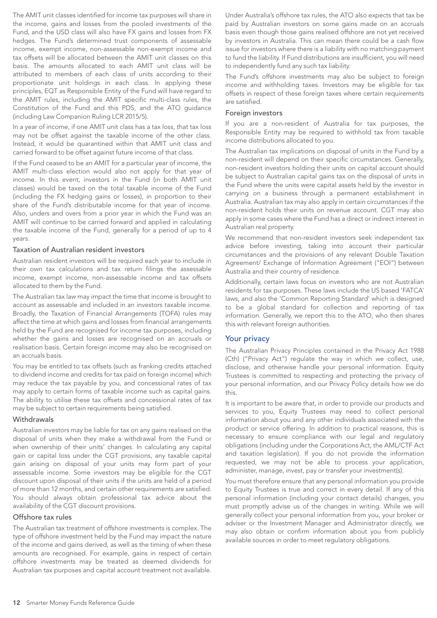The AMIT unit classes identified for income tax purposes will share in the income, gains and losses from the pooled investments of the Fund, and the USD class will also have FX gains and losses from FX hedges. The Fund's determined trust components of assessable income, exempt income, non-assessable non-exempt income and tax offsets will be allocated between the AMIT unit classes on this basis. The amounts allocated to each AMIT unit class will be attributed to members of each class of units according to their proportionate unit holdings in each class. In applying these principles, EQT as Responsible Entity of the Fund will have regard to the AMIT rules, including the AMIT specific multi-class rules, the Constitution of the Fund and this PDS, and the ATO guidance (including Law Companion Ruling LCR 2015/5).

In a year of income, if one AMIT unit class has a tax loss, that tax loss may not be offset against the taxable income of the other class. Instead, it would be quarantined within that AMIT unit class and carried forward to be offset against future income of that class.

If the Fund ceased to be an AMIT for a particular year of income, the AMIT multi-class election would also not apply for that year of income. In this event, investors in the Fund (in both AMIT unit classes) would be taxed on the total taxable income of the Fund (including the FX hedging gains or losses), in proportion to their share of the Fund's distributable income for that year of income. Also, unders and overs from a prior year in which the Fund was an AMIT will continue to be carried forward and applied in calculating the taxable income of the Fund, generally for a period of up to 4 years.

#### Taxation of Australian resident investors

Australian resident investors will be required each year to include in their own tax calculations and tax return filings the assessable income, exempt income, non-assessable income and tax offsets allocated to them by the Fund.

The Australian tax law may impact the time that income is brought to account as assessable and included in an investors taxable income. Broadly, the Taxation of Financial Arrangements (TOFA) rules may affect the time at which gains and losses from financial arrangements held by the Fund are recognised for income tax purposes, including whether the gains and losses are recognised on an accruals or realisation basis. Certain foreign income may also be recognised on an accruals basis.

You may be entitled to tax offsets (such as franking credits attached to dividend income and credits for tax paid on foreign income) which may reduce the tax payable by you, and concessional rates of tax may apply to certain forms of taxable income such as capital gains. The ability to utilise these tax offsets and concessional rates of tax may be subject to certain requirements being satisfied.

#### **Withdrawals**

Australian investors may be liable for tax on any gains realised on the disposal of units when they make a withdrawal from the Fund or when ownership of their units' changes. In calculating any capital gain or capital loss under the CGT provisions, any taxable capital gain arising on disposal of your units may form part of your assessable income. Some investors may be eligible for the CGT discount upon disposal of their units if the units are held of a period of more than 12 months, and certain other requirements are satisfied. You should always obtain professional tax advice about the availability of the CGT discount provisions.

#### Offshore tax rules

The Australian tax treatment of offshore investments is complex. The type of offshore investment held by the Fund may impact the nature of the income and gains derived, as well as the timing of when these amounts are recognised. For example, gains in respect of certain offshore investments may be treated as deemed dividends for Australian tax purposes and capital account treatment not available.

Under Australia's offshore tax rules, the ATO also expects that tax be paid by Australian investors on some gains made on an accruals basis even though those gains realised offshore are not yet received by investors in Australia. This can mean there could be a cash flow issue for investors where there is a liability with no matching payment to fund the liability. If Fund distributions are insufficient, you will need to independently fund any such tax liability.

The Fund's offshore investments may also be subject to foreign income and withholding taxes. Investors may be eligible for tax offsets in respect of these foreign taxes where certain requirements are satisfied.

#### Foreign investors

If you are a non-resident of Australia for tax purposes, the Responsible Entity may be required to withhold tax from taxable income distributions allocated to you.

The Australian tax implications on disposal of units in the Fund by a non-resident will depend on their specific circumstances. Generally, non-resident investors holding their units on capital account should be subject to Australian capital gains tax on the disposal of units in the Fund where the units were capital assets held by the investor in carrying on a business through a permanent establishment in Australia. Australian tax may also apply in certain circumstances if the non-resident holds their units on revenue account. CGT may also apply in some cases where the Fund has a direct or indirect interest in Australian real property.

We recommend that non-resident investors seek independent tax advice before investing, taking into account their particular circumstances and the provisions of any relevant Double Taxation Agreement/ Exchange of Information Agreement ("EOI") between Australia and their country of residence.

Additionally, certain laws focus on investors who are not Australian residents for tax purposes. These laws include the US based 'FATCA' laws, and also the 'Common Reporting Standard' which is designed to be a global standard for collection and reporting of tax information. Generally, we report this to the ATO, who then shares this with relevant foreign authorities.

#### Your privacy

The Australian Privacy Principles contained in the Privacy Act 1988 (Cth) ("Privacy Act") regulate the way in which we collect, use, disclose, and otherwise handle your personal information. Equity Trustees is committed to respecting and protecting the privacy of your personal information, and our Privacy Policy details how we do this.

It is important to be aware that, in order to provide our products and services to you, Equity Trustees may need to collect personal information about you and any other individuals associated with the product or service offering. In addition to practical reasons, this is necessary to ensure compliance with our legal and regulatory obligations (including under the Corporations Act, the AML/CTF Act and taxation legislation). If you do not provide the information requested, we may not be able to process your application, administer, manage, invest, pay or transfer your investment(s).

You must therefore ensure that any personal information you provide to Equity Trustees is true and correct in every detail. If any of this personal information (including your contact details) changes, you must promptly advise us of the changes in writing. While we will generally collect your personal information from you, your broker or adviser or the Investment Manager and Administrator directly, we may also obtain or confirm information about you from publicly available sources in order to meet regulatory obligations.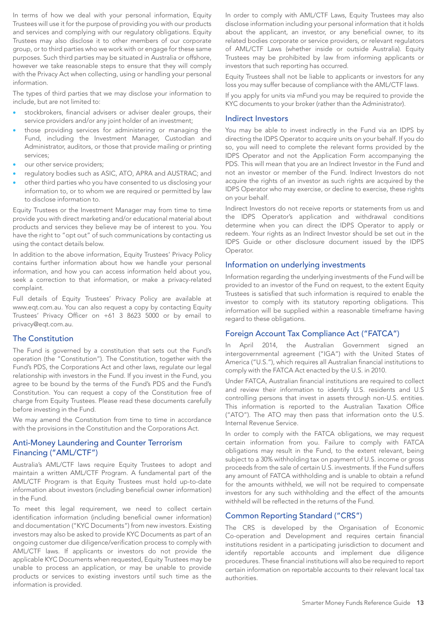In terms of how we deal with your personal information, Equity Trustees will use it for the purpose of providing you with our products and services and complying with our regulatory obligations. Equity Trustees may also disclose it to other members of our corporate group, or to third parties who we work with or engage for these same purposes. Such third parties may be situated in Australia or offshore, however we take reasonable steps to ensure that they will comply with the Privacy Act when collecting, using or handling your personal information.

The types of third parties that we may disclose your information to include, but are not limited to:

- stockbrokers, financial advisers or adviser dealer groups, their service providers and/or any joint holder of an investment;
- those providing services for administering or managing the Fund, including the Investment Manager, Custodian and Administrator, auditors, or those that provide mailing or printing services;
- our other service providers;
- regulatory bodies such as ASIC, ATO, APRA and AUSTRAC; and
- other third parties who you have consented to us disclosing your information to, or to whom we are required or permitted by law to disclose information to.

Equity Trustees or the Investment Manager may from time to time provide you with direct marketing and/or educational material about products and services they believe may be of interest to you. You have the right to "opt out" of such communications by contacting us using the contact details below.

In addition to the above information, Equity Trustees' Privacy Policy contains further information about how we handle your personal information, and how you can access information held about you, seek a correction to that information, or make a privacy-related complaint.

Full details of Equity Trustees' Privacy Policy are available at www.eqt.com.au. You can also request a copy by contacting Equity Trustees' Privacy Officer on +61 3 8623 5000 or by email to privacy@eqt.com.au.

#### The Constitution

The Fund is governed by a constitution that sets out the Fund's operation (the "Constitution"). The Constitution, together with the Fund's PDS, the Corporations Act and other laws, regulate our legal relationship with investors in the Fund. If you invest in the Fund, you agree to be bound by the terms of the Fund's PDS and the Fund's Constitution. You can request a copy of the Constitution free of charge from Equity Trustees. Please read these documents carefully before investing in the Fund.

We may amend the Constitution from time to time in accordance with the provisions in the Constitution and the Corporations Act.

# Anti-Money Laundering and Counter Terrorism Financing ("AML/CTF")

Australia's AML/CTF laws require Equity Trustees to adopt and maintain a written AML/CTF Program. A fundamental part of the AML/CTF Program is that Equity Trustees must hold up-to-date information about investors (including beneficial owner information) in the Fund.

To meet this legal requirement, we need to collect certain identification information (including beneficial owner information) and documentation ("KYC Documents") from new investors. Existing investors may also be asked to provide KYC Documents as part of an ongoing customer due diligence/verification process to comply with AML/CTF laws. If applicants or investors do not provide the applicable KYC Documents when requested, Equity Trustees may be unable to process an application, or may be unable to provide products or services to existing investors until such time as the information is provided.

In order to comply with AML/CTF Laws, Equity Trustees may also disclose information including your personal information that it holds about the applicant, an investor, or any beneficial owner, to its related bodies corporate or service providers, or relevant regulators of AML/CTF Laws (whether inside or outside Australia). Equity Trustees may be prohibited by law from informing applicants or investors that such reporting has occurred.

Equity Trustees shall not be liable to applicants or investors for any loss you may suffer because of compliance with the AML/CTF laws.

If you apply for units via mFund you may be required to provide the KYC documents to your broker (rather than the Administrator).

#### Indirect Investors

You may be able to invest indirectly in the Fund via an IDPS by directing the IDPS Operator to acquire units on your behalf. If you do so, you will need to complete the relevant forms provided by the IDPS Operator and not the Application Form accompanying the PDS. This will mean that you are an Indirect Investor in the Fund and not an investor or member of the Fund. Indirect Investors do not acquire the rights of an investor as such rights are acquired by the IDPS Operator who may exercise, or decline to exercise, these rights on your behalf.

Indirect Investors do not receive reports or statements from us and the IDPS Operator's application and withdrawal conditions determine when you can direct the IDPS Operator to apply or redeem. Your rights as an Indirect Investor should be set out in the IDPS Guide or other disclosure document issued by the IDPS Operator.

#### Information on underlying investments

Information regarding the underlying investments of the Fund will be provided to an investor of the Fund on request, to the extent Equity Trustees is satisfied that such information is required to enable the investor to comply with its statutory reporting obligations. This information will be supplied within a reasonable timeframe having regard to these obligations.

#### Foreign Account Tax Compliance Act ("FATCA")

In April 2014, the Australian Government signed an intergovernmental agreement ("IGA") with the United States of America ("U.S."), which requires all Australian financial institutions to comply with the FATCA Act enacted by the U.S. in 2010.

Under FATCA, Australian financial institutions are required to collect and review their information to identify U.S. residents and U.S controlling persons that invest in assets through non-U.S. entities. This information is reported to the Australian Taxation Office ("ATO"). The ATO may then pass that information onto the U.S. Internal Revenue Service.

In order to comply with the FATCA obligations, we may request certain information from you. Failure to comply with FATCA obligations may result in the Fund, to the extent relevant, being subject to a 30% withholding tax on payment of U.S. income or gross proceeds from the sale of certain U.S. investments. If the Fund suffers any amount of FATCA withholding and is unable to obtain a refund for the amounts withheld, we will not be required to compensate investors for any such withholding and the effect of the amounts withheld will be reflected in the returns of the Fund.

#### Common Reporting Standard ("CRS")

The CRS is developed by the Organisation of Economic Co-operation and Development and requires certain financial institutions resident in a participating jurisdiction to document and identify reportable accounts and implement due diligence procedures. These financial institutions will also be required to report certain information on reportable accounts to their relevant local tax authorities.